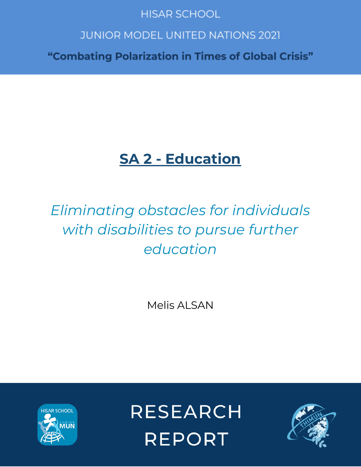## **HISAR SCHOOL**

## **JUNIOR MODEL UNITED NATIONS 2021**

"Combating Polarization in Times of Global Crisis"

## **SA 2 - Education**

# *Eliminating obstacles for individuals with disabilities to pursue further education*

Melis ALSAN



**RESEARCH REPORT** 

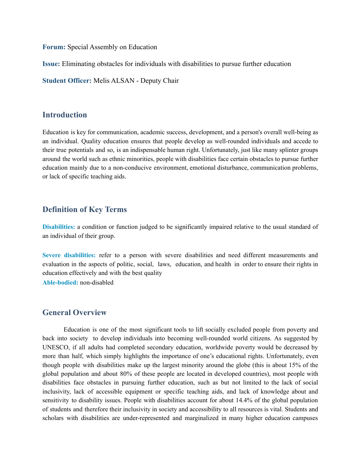**Forum:** Special Assembly on Education

**Issue:** Eliminating obstacles for individuals with disabilities to pursue further education

**Student Officer:** Melis ALSAN - Deputy Chair

#### **Introduction**

Education is key for communication, academic success, development, and a person's overall well-being as an individual. Quality education ensures that people develop as well-rounded individuals and accede to their true potentials and so, is an indispensable human right. Unfortunately, just like many splinter groups around the world such as ethnic minorities, people with disabilities face certain obstacles to pursue further education mainly due to a non-conducive environment, emotional disturbance, communication problems, or lack of specific teaching aids.

#### **Definition of Key Terms**

**Disabilities:** a condition or function judged to be significantly impaired relative to the usual standard of an individual of their group.

**Severe disabilities:** refer to a person with severe disabilities and need different measurements and evaluation in the aspects of politic, social, laws, education, and health in order to ensure their rights in education effectively and with the best quality

**Able-bodied:** non-disabled

#### **General Overview**

Education is one of the most significant tools to lift socially excluded people from poverty and back into society to develop individuals into becoming well-rounded world citizens. As suggested by UNESCO, if all adults had completed secondary education, worldwide poverty would be decreased by more than half, which simply highlights the importance of one's educational rights. Unfortunately, even though people with disabilities make up the largest minority around the globe (this is about 15% of the global population and about 80% of these people are located in developed countries), most people with disabilities face obstacles in pursuing further education, such as but not limited to the lack of social inclusivity, lack of accessible equipment or specific teaching aids, and lack of knowledge about and sensitivity to disability issues. People with disabilities account for about 14.4% of the global population of students and therefore their inclusivity in society and accessibility to all resources is vital. Students and scholars with disabilities are under-represented and marginalized in many higher education campuses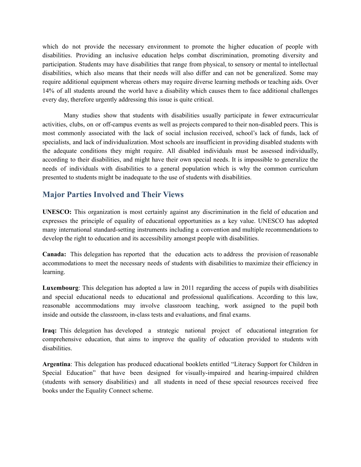which do not provide the necessary environment to promote the higher education of people with disabilities. Providing an inclusive education helps combat discrimination, promoting diversity and participation. Students may have disabilities that range from physical, to sensory or mental to intellectual disabilities, which also means that their needs will also differ and can not be generalized. Some may require additional equipment whereas others may require diverse learning methods or teaching aids. Over 14% of all students around the world have a disability which causes them to face additional challenges every day, therefore urgently addressing this issue is quite critical.

Many studies show that students with disabilities usually participate in fewer extracurricular activities, clubs, on or off-campus events as well as projects compared to their non-disabled peers. This is most commonly associated with the lack of social inclusion received, school's lack of funds, lack of specialists, and lack of individualization. Most schools are insufficient in providing disabled students with the adequate conditions they might require. All disabled individuals must be assessed individually, according to their disabilities, and might have their own special needs. It is impossible to generalize the needs of individuals with disabilities to a general population which is why the common curriculum presented to students might be inadequate to the use of students with disabilities.

#### **Major Parties Involved and Their Views**

**UNESCO:** This organization is most certainly against any discrimination in the field of education and expresses the principle of equality of educational opportunities as a key value. UNESCO has adopted many international standard-setting instruments including a convention and multiple recommendations to develop the right to education and its accessibility amongst people with disabilities.

**Canada:** This delegation has reported that the education acts to address the provision of reasonable accommodations to meet the necessary needs of students with disabilities to maximize their efficiency in learning.

**Luxembourg**: This delegation has adopted a law in 2011 regarding the access of pupils with disabilities and special educational needs to educational and professional qualifications. According to this law, reasonable accommodations may involve classroom teaching, work assigned to the pupil both inside and outside the classroom, in-class tests and evaluations, and final exams.

**Iraq:** This delegation has developed a strategic national project of educational integration for comprehensive education, that aims to improve the quality of education provided to students with disabilities.

**Argentina**: This delegation has produced educational booklets entitled "Literacy Support for Children in Special Education" that have been designed for visually-impaired and hearing-impaired children (students with sensory disabilities) and all students in need of these special resources received free books under the Equality Connect scheme.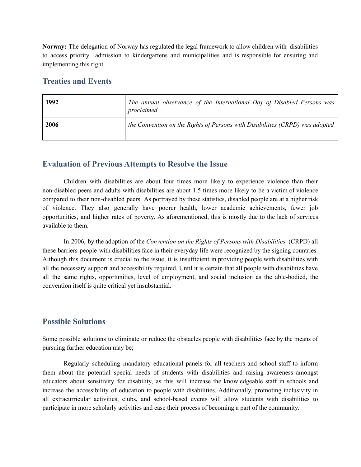**Norway:** The delegation of Norway has regulated the legal framework to allow children with disabilities to access priority admission to kindergartens and municipalities and is responsible for ensuring and implementing this right.

#### **Treaties and Events**

| 1992 | The annual observance of the International Day of Disabled Persons was<br>proclaimed |
|------|--------------------------------------------------------------------------------------|
| 2006 | the Convention on the Rights of Persons with Disabilities (CRPD) was adopted         |

#### **Evaluation of Previous Attempts to Resolve the Issue**

Children with disabilities are about four times more likely to experience violence than their non-disabled peers and adults with disabilities are about 1.5 times more likely to be a victim of violence compared to their non-disabled peers. As portrayed by these statistics, disabled people are at a higher risk of violence. They also generally have poorer health, lower academic achievements, fewer job opportunities, and higher rates of poverty. As aforementioned, this is mostly due to the lack of services available to them.

In 2006, by the adoption of the *Convention on the Rights of Persons with Disabilities* (CRPD) all these barriers people with disabilities face in their everyday life were recognized by the signing countries. Although this document is crucial to the issue, it is insufficient in providing people with disabilities with all the necessary support and accessibility required. Until it is certain that all people with disabilities have all the same rights, opportunities, level of employment, and social inclusion as the able-bodied, the convention itself is quite critical yet insubstantial.

#### **Possible Solutions**

Some possible solutions to eliminate or reduce the obstacles people with disabilities face by the means of pursuing further education may be;

Regularly scheduling mandatory educational panels for all teachers and school staff to inform them about the potential special needs of students with disabilities and raising awareness amongst educators about sensitivity for disability, as this will increase the knowledgeable staff in schools and increase the accessibility of education to people with disabilities. Additionally, promoting inclusivity in all extracurricular activities, clubs, and school-based events will allow students with disabilities to participate in more scholarly activities and ease their process of becoming a part of the community.